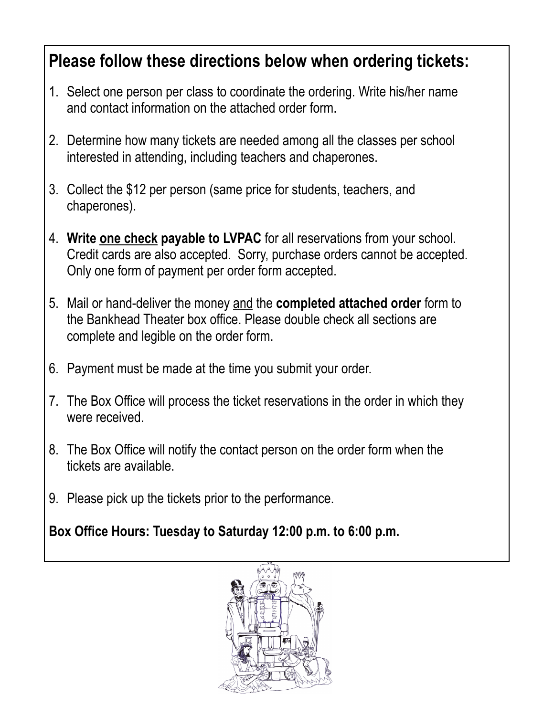## **Please follow these directions below when ordering tickets:**

- 1. Select one person per class to coordinate the ordering. Write his/her name and contact information on the attached order form.
- 2. Determine how many tickets are needed among all the classes per school interested in attending, including teachers and chaperones.
- 3. Collect the \$12 per person (same price for students, teachers, and chaperones).
- 4. **Write one check payable to LVPAC** for all reservations from your school. Credit cards are also accepted. Sorry, purchase orders cannot be accepted. Only one form of payment per order form accepted.
- 5. Mail or hand-deliver the money and the **completed attached order** form to the Bankhead Theater box office. Please double check all sections are complete and legible on the order form.
- 6. Payment must be made at the time you submit your order.
- 7. The Box Office will process the ticket reservations in the order in which they were received.
- 8. The Box Office will notify the contact person on the order form when the tickets are available.
- 9. Please pick up the tickets prior to the performance.

**Box Office Hours: Tuesday to Saturday 12:00 p.m. to 6:00 p.m.**

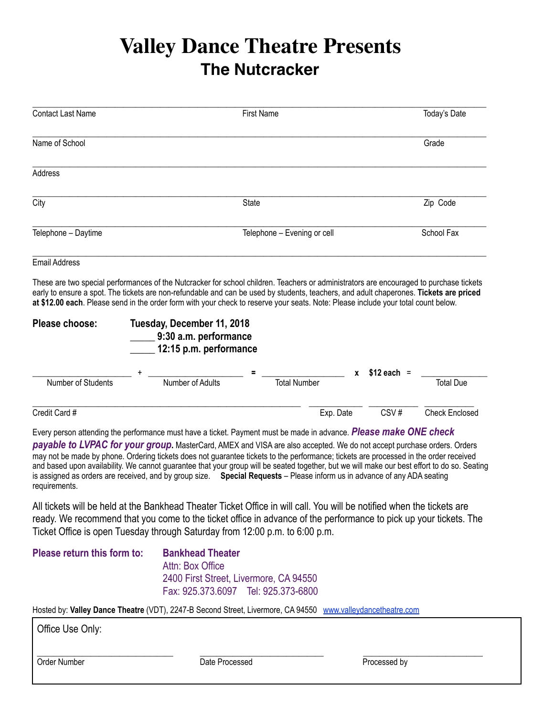## **Valley Dance Theatre Presents The Nutcracker**

| <b>Contact Last Name</b> |                                                                                                                                                                                                                                                                                                                                                                                                                         | <b>First Name</b>           |           |              | Today's Date          |
|--------------------------|-------------------------------------------------------------------------------------------------------------------------------------------------------------------------------------------------------------------------------------------------------------------------------------------------------------------------------------------------------------------------------------------------------------------------|-----------------------------|-----------|--------------|-----------------------|
| Name of School           |                                                                                                                                                                                                                                                                                                                                                                                                                         |                             |           |              | Grade                 |
| <b>Address</b>           |                                                                                                                                                                                                                                                                                                                                                                                                                         |                             |           |              |                       |
| City                     |                                                                                                                                                                                                                                                                                                                                                                                                                         | <b>State</b>                |           |              | Zip Code              |
| Telephone - Daytime      |                                                                                                                                                                                                                                                                                                                                                                                                                         | Telephone - Evening or cell |           |              | School Fax            |
| <b>Email Address</b>     |                                                                                                                                                                                                                                                                                                                                                                                                                         |                             |           |              |                       |
|                          | These are two special performances of the Nutcracker for school children. Teachers or administrators are encouraged to purchase tickets<br>early to ensure a spot. The tickets are non-refundable and can be used by students, teachers, and adult chaperones. Tickets are priced<br>at \$12.00 each. Please send in the order form with your check to reserve your seats. Note: Please include your total count below. |                             |           |              |                       |
| Please choose:           | Tuesday, December 11, 2018<br>9:30 a.m. performance<br>12:15 p.m. performance                                                                                                                                                                                                                                                                                                                                           |                             |           |              |                       |
| Number of Students       | Number of Adults                                                                                                                                                                                                                                                                                                                                                                                                        | <b>Total Number</b>         | X         | $$12$ each = | <b>Total Due</b>      |
|                          |                                                                                                                                                                                                                                                                                                                                                                                                                         |                             |           |              |                       |
| Credit Card #            |                                                                                                                                                                                                                                                                                                                                                                                                                         |                             | Exp. Date | CSV#         | <b>Check Enclosed</b> |

Every person attending the performance must have a ticket. Payment must be made in advance. *Please make ONE check payable to LVPAC for your group***.** MasterCard, AMEX and VISA are also accepted. We do not accept purchase orders. Orders may not be made by phone. Ordering tickets does not guarantee tickets to the performance; tickets are processed in the order received and based upon availability. We cannot guarantee that your group will be seated together, but we will make our best effort to do so. Seating is assigned as orders are received, and by group size. **Special Requests** – Please inform us in advance of any ADA seating requirements.

All tickets will be held at the Bankhead Theater Ticket Office in will call. You will be notified when the tickets are ready. We recommend that you come to the ticket office in advance of the performance to pick up your tickets. The Ticket Office is open Tuesday through Saturday from 12:00 p.m. to 6:00 p.m.

\_\_\_\_\_\_\_\_\_\_\_\_\_\_\_\_\_\_\_\_\_\_\_\_\_\_\_\_\_\_\_\_\_ \_\_\_\_\_\_\_\_\_\_\_\_\_\_\_\_\_\_\_\_\_\_\_\_\_\_\_\_\_\_ \_\_\_\_\_\_\_\_\_\_\_\_\_\_\_\_\_\_\_\_\_\_\_\_\_\_\_\_\_

| Please return this form to: | <b>Bankhead Theater</b>                |
|-----------------------------|----------------------------------------|
|                             | Attn: Box Office                       |
|                             | 2400 First Street, Livermore, CA 94550 |
|                             | Fax: 925.373.6097 Tel: 925.373-6800    |

Hosted by: **Valley Dance Theatre** (VDT), 2247-B Second Street, Livermore, CA 94550 [www.valleydancetheatre.com](http://www.valleydancetheatre.com)

| Office Use Only: |
|------------------|
|------------------|

Order Number **Date Processed Date Processed** Processed by